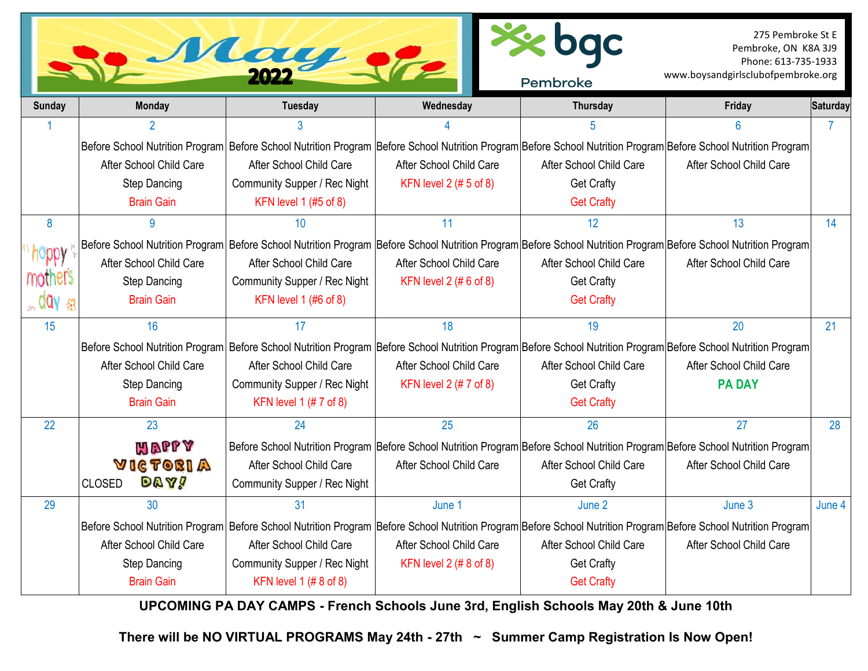|                               |                              | May                                                                                                                                                              |                          | Pembroke                | 275 Pembroke St E<br>Pembroke, ON K8A 3J9<br>Phone: 613-735-1933<br>www.boysandgirlsclubofpembroke.org |          |
|-------------------------------|------------------------------|------------------------------------------------------------------------------------------------------------------------------------------------------------------|--------------------------|-------------------------|--------------------------------------------------------------------------------------------------------|----------|
| <b>Sunday</b>                 | <b>Monday</b>                | <b>Tuesday</b>                                                                                                                                                   | Wednesday                | Thursday                | Friday                                                                                                 | Saturday |
|                               |                              |                                                                                                                                                                  |                          |                         | 6                                                                                                      |          |
|                               |                              | Before School Nutrition Program Before School Nutrition Program Before School Nutrition Program Before School Nutrition Program Before School Nutrition Program  |                          |                         |                                                                                                        |          |
|                               | After School Child Care      | After School Child Care                                                                                                                                          | After School Child Care  | After School Child Care | After School Child Care                                                                                |          |
|                               | <b>Step Dancing</b>          | Community Supper / Rec Night                                                                                                                                     | KFN level $2$ (# 5 of 8) | <b>Get Crafty</b>       |                                                                                                        |          |
|                               | <b>Brain Gain</b>            | KFN level 1 (#5 of 8)                                                                                                                                            |                          | <b>Get Crafty</b>       |                                                                                                        |          |
| $\boldsymbol{8}$              | 9                            | 10                                                                                                                                                               | 11                       | 12                      | 13                                                                                                     | 14       |
|                               |                              | Before School Nutrition Program Before School Nutrition Program Before School Nutrition Program Before School Nutrition Program Before School Nutrition Program  |                          |                         |                                                                                                        |          |
| <b>Holbh</b>                  | After School Child Care      | After School Child Care                                                                                                                                          | After School Child Care  | After School Child Care | After School Child Care                                                                                |          |
| mothers                       | <b>Step Dancing</b>          | Community Supper / Rec Night                                                                                                                                     | KFN level $2$ (#6 of 8)  | <b>Get Crafty</b>       |                                                                                                        |          |
| $_{\circ}$ day $_{\circledR}$ | <b>Brain Gain</b>            | KFN level 1 (#6 of 8)                                                                                                                                            |                          | <b>Get Crafty</b>       |                                                                                                        |          |
| 15                            | 16                           | 17                                                                                                                                                               | 18                       | 19                      | 20                                                                                                     | 21       |
|                               |                              | Before School Nutrition Program Before School Nutrition Program Before School Nutrition Program Before School Nutrition Program Before School Nutrition Program  |                          |                         |                                                                                                        |          |
|                               | After School Child Care      | After School Child Care                                                                                                                                          | After School Child Care  | After School Child Care | After School Child Care                                                                                |          |
|                               | <b>Step Dancing</b>          | Community Supper / Rec Night                                                                                                                                     | KFN level $2$ (# 7 of 8) | <b>Get Crafty</b>       | <b>PA DAY</b>                                                                                          |          |
|                               | <b>Brain Gain</b>            | KFN level 1 (# 7 of 8)                                                                                                                                           |                          | <b>Get Crafty</b>       |                                                                                                        |          |
| 22                            | 23                           | 24                                                                                                                                                               | 25                       | 26                      | 27                                                                                                     | 28       |
|                               | <b>MAPPY</b>                 | Before School Nutrition Program Before School Nutrition Program Before School Nutrition Program Before School Nutrition Program                                  |                          |                         |                                                                                                        |          |
|                               | VICTOBIA                     | After School Child Care                                                                                                                                          | After School Child Care  | After School Child Care | After School Child Care                                                                                |          |
|                               | <b>DAY!</b><br><b>CLOSED</b> | Community Supper / Rec Night                                                                                                                                     |                          | <b>Get Crafty</b>       |                                                                                                        |          |
| 29                            | 30                           | 31                                                                                                                                                               | June 1                   | June 2                  | June 3                                                                                                 | June 4   |
|                               |                              | Before School Nutrition Program Before School Nutrition Program  Before School Nutrition Program Before School Nutrition Program Before School Nutrition Program |                          |                         |                                                                                                        |          |
|                               | After School Child Care      | After School Child Care                                                                                                                                          | After School Child Care  | After School Child Care | After School Child Care                                                                                |          |
|                               | <b>Step Dancing</b>          | Community Supper / Rec Night                                                                                                                                     | KFN level $2$ (# 8 of 8) | <b>Get Crafty</b>       |                                                                                                        |          |
|                               | <b>Brain Gain</b>            | KFN level 1 $(\# 8 \text{ of } 8)$                                                                                                                               |                          | <b>Get Crafty</b>       |                                                                                                        |          |

**UPCOMING PA DAY CAMPS - French Schools June 3rd, English Schools May 20th & June 10th**

**There will be NO VIRTUAL PROGRAMS May 24th - 27th ~ Summer Camp Registration Is Now Open!**